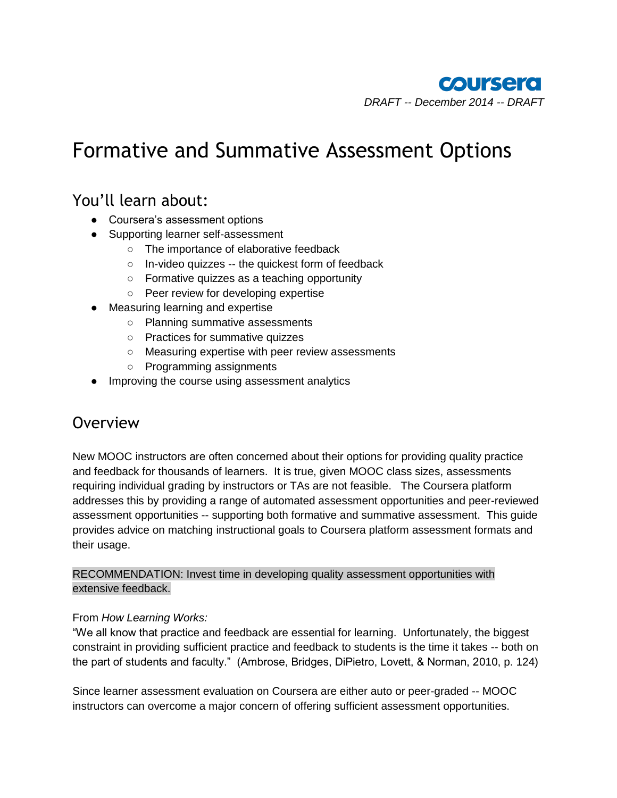# Formative and Summative Assessment Options

# You'll learn about:

- Coursera's assessment options
- Supporting learner self-assessment
	- The importance of elaborative feedback
	- In-video quizzes -- the quickest form of feedback
	- Formative quizzes as a teaching opportunity
	- Peer review for developing expertise
- Measuring learning and expertise
	- Planning summative assessments
	- Practices for summative quizzes
	- Measuring expertise with peer review assessments
	- Programming assignments
- Improving the course using assessment analytics

## **Overview**

New MOOC instructors are often concerned about their options for providing quality practice and feedback for thousands of learners. It is true, given MOOC class sizes, assessments requiring individual grading by instructors or TAs are not feasible. The Coursera platform addresses this by providing a range of automated assessment opportunities and peer-reviewed assessment opportunities -- supporting both formative and summative assessment. This guide provides advice on matching instructional goals to Coursera platform assessment formats and their usage.

RECOMMENDATION: Invest time in developing quality assessment opportunities with extensive feedback.

#### From *How Learning Works:*

"We all know that practice and feedback are essential for learning. Unfortunately, the biggest constraint in providing sufficient practice and feedback to students is the time it takes -- both on the part of students and faculty." (Ambrose, Bridges, DiPietro, Lovett, & Norman, 2010, p. 124)

Since learner assessment evaluation on Coursera are either auto or peer-graded -- MOOC instructors can overcome a major concern of offering sufficient assessment opportunities.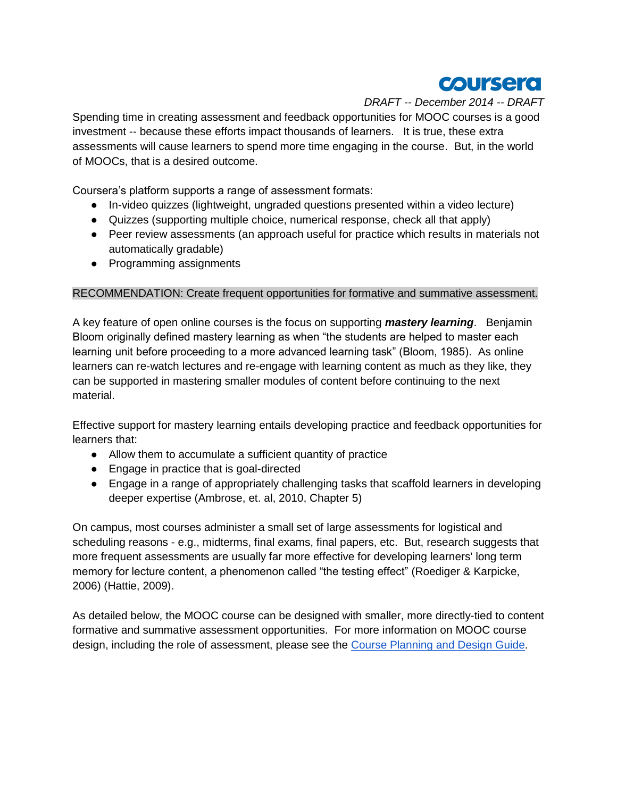

Spending time in creating assessment and feedback opportunities for MOOC courses is a good investment -- because these efforts impact thousands of learners. It is true, these extra assessments will cause learners to spend more time engaging in the course. But, in the world of MOOCs, that is a desired outcome.

Coursera's platform supports a range of assessment formats:

- In-video quizzes (lightweight, ungraded questions presented within a video lecture)
- Quizzes (supporting multiple choice, numerical response, check all that apply)
- Peer review assessments (an approach useful for practice which results in materials not automatically gradable)
- Programming assignments

#### RECOMMENDATION: Create frequent opportunities for formative and summative assessment.

A key feature of open online courses is the focus on supporting *mastery learning*. Benjamin Bloom originally defined mastery learning as when "the students are helped to master each learning unit before proceeding to a more advanced learning task" (Bloom, 1985). As online learners can re-watch lectures and re-engage with learning content as much as they like, they can be supported in mastering smaller modules of content before continuing to the next material.

Effective support for mastery learning entails developing practice and feedback opportunities for learners that:

- Allow them to accumulate a sufficient quantity of practice
- Engage in practice that is goal-directed
- Engage in a range of appropriately challenging tasks that scaffold learners in developing deeper expertise (Ambrose, et. al, 2010, Chapter 5)

On campus, most courses administer a small set of large assessments for logistical and scheduling reasons - e.g., midterms, final exams, final papers, etc. But, research suggests that more frequent assessments are usually far more effective for developing learners' long term memory for lecture content, a phenomenon called "the testing effect" (Roediger & Karpicke, 2006) (Hattie, 2009).

As detailed below, the MOOC course can be designed with smaller, more directly-tied to content formative and summative assessment opportunities. For more information on MOOC course design, including the role of assessment, please see the [Course Planning and Design Guide.](https://docs.google.com/document/d/1jGAGjvh0qmHuOTQBqRg2BEMq9upinhhfPXlKAUmmRiY/edit?usp=sharing)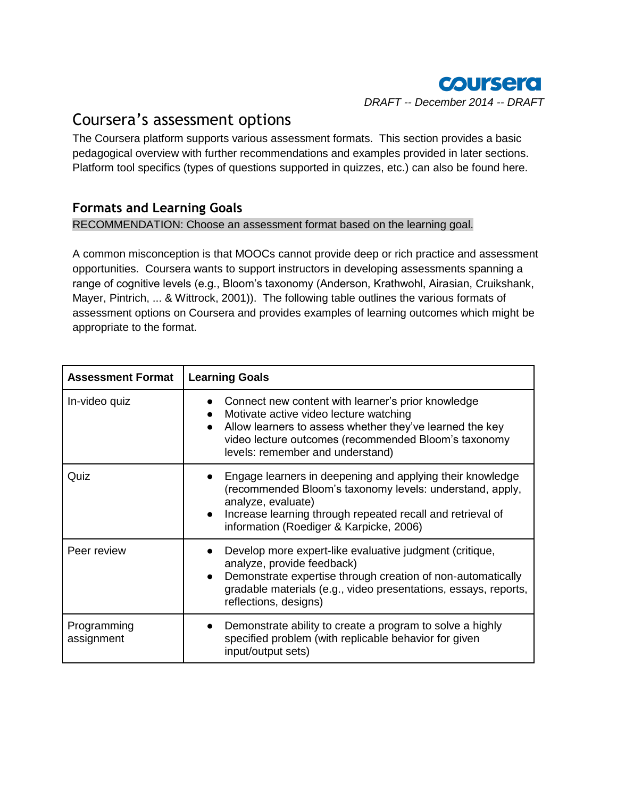

# Coursera's assessment options

The Coursera platform supports various assessment formats. This section provides a basic pedagogical overview with further recommendations and examples provided in later sections. Platform tool specifics (types of questions supported in quizzes, etc.) can also be found here.

### **Formats and Learning Goals**

RECOMMENDATION: Choose an assessment format based on the learning goal.

A common misconception is that MOOCs cannot provide deep or rich practice and assessment opportunities. Coursera wants to support instructors in developing assessments spanning a range of cognitive levels (e.g., Bloom's taxonomy (Anderson, Krathwohl, Airasian, Cruikshank, Mayer, Pintrich, ... & Wittrock, 2001)). The following table outlines the various formats of assessment options on Coursera and provides examples of learning outcomes which might be appropriate to the format.

| <b>Assessment Format</b>  | <b>Learning Goals</b>                                                                                                                                                                                                                                                          |  |  |
|---------------------------|--------------------------------------------------------------------------------------------------------------------------------------------------------------------------------------------------------------------------------------------------------------------------------|--|--|
| In-video quiz             | Connect new content with learner's prior knowledge<br>Motivate active video lecture watching<br>$\bullet$<br>Allow learners to assess whether they've learned the key<br>$\bullet$<br>video lecture outcomes (recommended Bloom's taxonomy<br>levels: remember and understand) |  |  |
| Quiz                      | Engage learners in deepening and applying their knowledge<br>$\bullet$<br>(recommended Bloom's taxonomy levels: understand, apply,<br>analyze, evaluate)<br>Increase learning through repeated recall and retrieval of<br>$\bullet$<br>information (Roediger & Karpicke, 2006) |  |  |
| Peer review               | Develop more expert-like evaluative judgment (critique,<br>analyze, provide feedback)<br>Demonstrate expertise through creation of non-automatically<br>$\bullet$<br>gradable materials (e.g., video presentations, essays, reports,<br>reflections, designs)                  |  |  |
| Programming<br>assignment | Demonstrate ability to create a program to solve a highly<br>$\bullet$<br>specified problem (with replicable behavior for given<br>input/output sets)                                                                                                                          |  |  |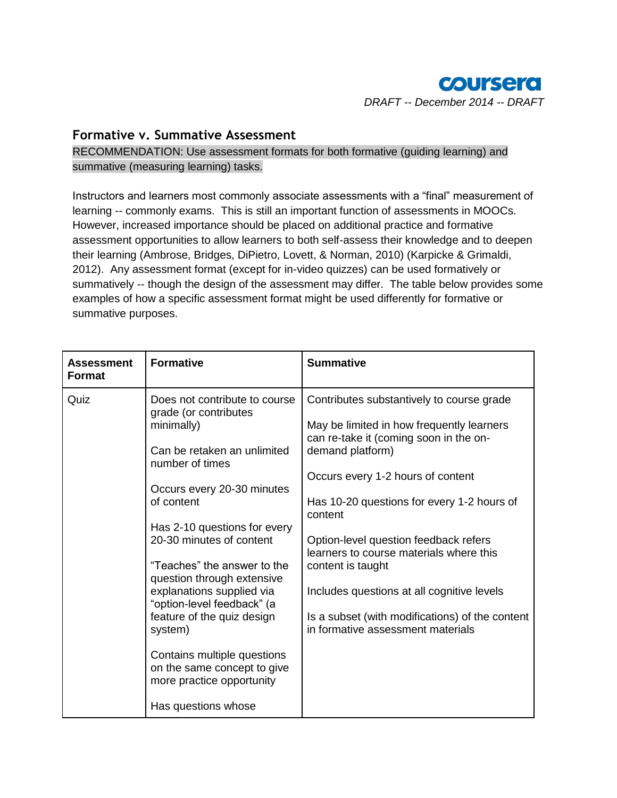

#### **Formative v. Summative Assessment**

RECOMMENDATION: Use assessment formats for both formative (guiding learning) and summative (measuring learning) tasks.

Instructors and learners most commonly associate assessments with a "final" measurement of learning -- commonly exams. This is still an important function of assessments in MOOCs. However, increased importance should be placed on additional practice and formative assessment opportunities to allow learners to both self-assess their knowledge and to deepen their learning (Ambrose, Bridges, DiPietro, Lovett, & Norman, 2010) (Karpicke & Grimaldi, 2012). Any assessment format (except for in-video quizzes) can be used formatively or summatively -- though the design of the assessment may differ. The table below provides some examples of how a specific assessment format might be used differently for formative or summative purposes.

| <b>Assessment</b><br><b>Format</b> | <b>Formative</b>                                                                                                                                                                                                                                                                                                                                                                                                                                                                                                  | <b>Summative</b>                                                                                                                                                                                                                                                                                                                                                                                                                                                                                  |
|------------------------------------|-------------------------------------------------------------------------------------------------------------------------------------------------------------------------------------------------------------------------------------------------------------------------------------------------------------------------------------------------------------------------------------------------------------------------------------------------------------------------------------------------------------------|---------------------------------------------------------------------------------------------------------------------------------------------------------------------------------------------------------------------------------------------------------------------------------------------------------------------------------------------------------------------------------------------------------------------------------------------------------------------------------------------------|
| Quiz                               | Does not contribute to course<br>grade (or contributes<br>minimally)<br>Can be retaken an unlimited<br>number of times<br>Occurs every 20-30 minutes<br>of content<br>Has 2-10 questions for every<br>20-30 minutes of content<br>"Teaches" the answer to the<br>question through extensive<br>explanations supplied via<br>"option-level feedback" (a<br>feature of the quiz design<br>system)<br>Contains multiple questions<br>on the same concept to give<br>more practice opportunity<br>Has questions whose | Contributes substantively to course grade<br>May be limited in how frequently learners<br>can re-take it (coming soon in the on-<br>demand platform)<br>Occurs every 1-2 hours of content<br>Has 10-20 questions for every 1-2 hours of<br>content<br>Option-level question feedback refers<br>learners to course materials where this<br>content is taught<br>Includes questions at all cognitive levels<br>Is a subset (with modifications) of the content<br>in formative assessment materials |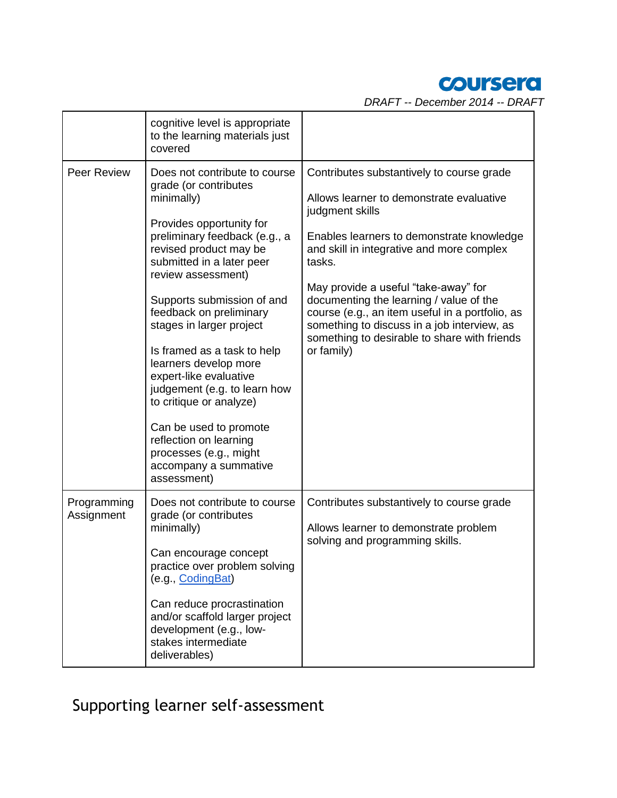# coursera

*DRAFT -- December 2014 -- DRAFT*

|                           | cognitive level is appropriate<br>to the learning materials just<br>covered                                                                                                                                                                                                                                                                                                                                                                                                                                                                                            |                                                                                                                                                                                                                                                                                                                                                                                                                                                                 |
|---------------------------|------------------------------------------------------------------------------------------------------------------------------------------------------------------------------------------------------------------------------------------------------------------------------------------------------------------------------------------------------------------------------------------------------------------------------------------------------------------------------------------------------------------------------------------------------------------------|-----------------------------------------------------------------------------------------------------------------------------------------------------------------------------------------------------------------------------------------------------------------------------------------------------------------------------------------------------------------------------------------------------------------------------------------------------------------|
| Peer Review               | Does not contribute to course<br>grade (or contributes<br>minimally)<br>Provides opportunity for<br>preliminary feedback (e.g., a<br>revised product may be<br>submitted in a later peer<br>review assessment)<br>Supports submission of and<br>feedback on preliminary<br>stages in larger project<br>Is framed as a task to help<br>learners develop more<br>expert-like evaluative<br>judgement (e.g. to learn how<br>to critique or analyze)<br>Can be used to promote<br>reflection on learning<br>processes (e.g., might<br>accompany a summative<br>assessment) | Contributes substantively to course grade<br>Allows learner to demonstrate evaluative<br>judgment skills<br>Enables learners to demonstrate knowledge<br>and skill in integrative and more complex<br>tasks.<br>May provide a useful "take-away" for<br>documenting the learning / value of the<br>course (e.g., an item useful in a portfolio, as<br>something to discuss in a job interview, as<br>something to desirable to share with friends<br>or family) |
| Programming<br>Assignment | Does not contribute to course<br>grade (or contributes<br>minimally)<br>Can encourage concept<br>practice over problem solving<br>(e.g., CodingBat)<br>Can reduce procrastination<br>and/or scaffold larger project<br>development (e.g., low-<br>stakes intermediate<br>deliverables)                                                                                                                                                                                                                                                                                 | Contributes substantively to course grade<br>Allows learner to demonstrate problem<br>solving and programming skills.                                                                                                                                                                                                                                                                                                                                           |

Supporting learner self-assessment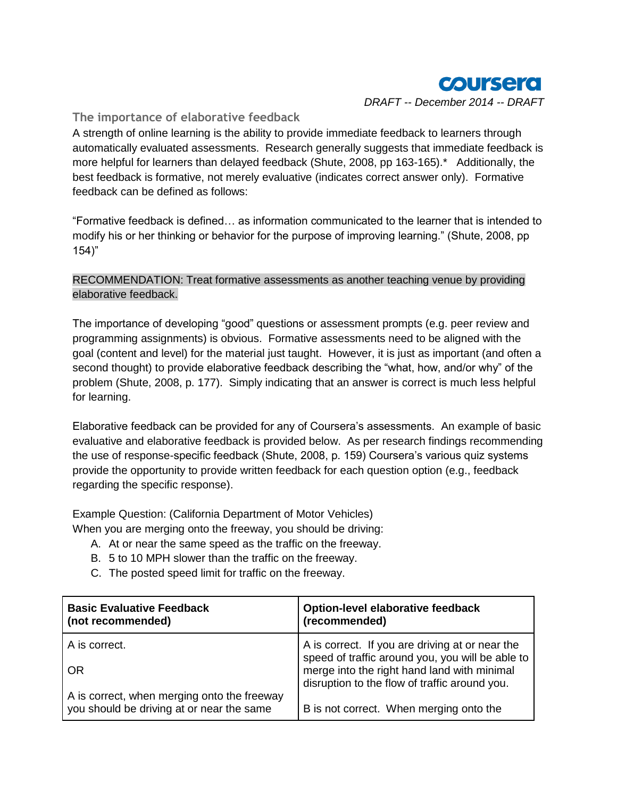

#### **The importance of elaborative feedback**

A strength of online learning is the ability to provide immediate feedback to learners through automatically evaluated assessments. Research generally suggests that immediate feedback is more helpful for learners than delayed feedback (Shute, 2008, pp 163-165).\* Additionally, the best feedback is formative, not merely evaluative (indicates correct answer only). Formative feedback can be defined as follows:

"Formative feedback is defined… as information communicated to the learner that is intended to modify his or her thinking or behavior for the purpose of improving learning." (Shute, 2008, pp 154)"

#### RECOMMENDATION: Treat formative assessments as another teaching venue by providing elaborative feedback.

The importance of developing "good" questions or assessment prompts (e.g. peer review and programming assignments) is obvious. Formative assessments need to be aligned with the goal (content and level) for the material just taught. However, it is just as important (and often a second thought) to provide elaborative feedback describing the "what, how, and/or why" of the problem (Shute, 2008, p. 177). Simply indicating that an answer is correct is much less helpful for learning.

Elaborative feedback can be provided for any of Coursera's assessments. An example of basic evaluative and elaborative feedback is provided below. As per research findings recommending the use of response-specific feedback (Shute, 2008, p. 159) Coursera's various quiz systems provide the opportunity to provide written feedback for each question option (e.g., feedback regarding the specific response).

Example Question: (California Department of Motor Vehicles) When you are merging onto the freeway, you should be driving:

- A. At or near the same speed as the traffic on the freeway.
- B. 5 to 10 MPH slower than the traffic on the freeway.
- C. The posted speed limit for traffic on the freeway.

| <b>Basic Evaluative Feedback</b><br>(not recommended)                                    | <b>Option-level elaborative feedback</b><br>(recommended)                                                                                        |  |
|------------------------------------------------------------------------------------------|--------------------------------------------------------------------------------------------------------------------------------------------------|--|
| A is correct.                                                                            | A is correct. If you are driving at or near the                                                                                                  |  |
| 0R                                                                                       | speed of traffic around you, you will be able to<br>merge into the right hand land with minimal<br>disruption to the flow of traffic around you. |  |
| A is correct, when merging onto the freeway<br>you should be driving at or near the same | B is not correct. When merging onto the                                                                                                          |  |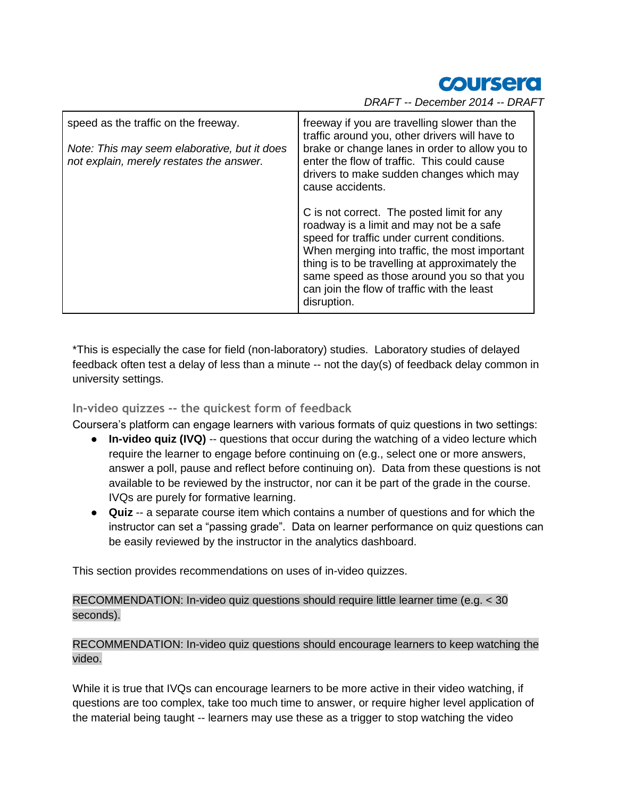*Coursera* 

*DRAFT -- December 2014 -- DRAFT*

| speed as the traffic on the freeway.<br>Note: This may seem elaborative, but it does<br>not explain, merely restates the answer. | freeway if you are travelling slower than the<br>traffic around you, other drivers will have to<br>brake or change lanes in order to allow you to<br>enter the flow of traffic. This could cause<br>drivers to make sudden changes which may<br>cause accidents.                                                                                     |  |
|----------------------------------------------------------------------------------------------------------------------------------|------------------------------------------------------------------------------------------------------------------------------------------------------------------------------------------------------------------------------------------------------------------------------------------------------------------------------------------------------|--|
|                                                                                                                                  | C is not correct. The posted limit for any<br>roadway is a limit and may not be a safe<br>speed for traffic under current conditions.<br>When merging into traffic, the most important<br>thing is to be travelling at approximately the<br>same speed as those around you so that you<br>can join the flow of traffic with the least<br>disruption. |  |

\*This is especially the case for field (non-laboratory) studies. Laboratory studies of delayed feedback often test a delay of less than a minute -- not the day(s) of feedback delay common in university settings.

**In-video quizzes -- the quickest form of feedback**

Coursera's platform can engage learners with various formats of quiz questions in two settings:

- **In-video quiz (IVQ)** -- questions that occur during the watching of a video lecture which require the learner to engage before continuing on (e.g., select one or more answers, answer a poll, pause and reflect before continuing on). Data from these questions is not available to be reviewed by the instructor, nor can it be part of the grade in the course. IVQs are purely for formative learning.
- **Quiz** -- a separate course item which contains a number of questions and for which the instructor can set a "passing grade". Data on learner performance on quiz questions can be easily reviewed by the instructor in the analytics dashboard.

This section provides recommendations on uses of in-video quizzes.

RECOMMENDATION: In-video quiz questions should require little learner time (e.g. < 30 seconds).

RECOMMENDATION: In-video quiz questions should encourage learners to keep watching the video.

While it is true that IVQs can encourage learners to be more active in their video watching, if questions are too complex, take too much time to answer, or require higher level application of the material being taught -- learners may use these as a trigger to stop watching the video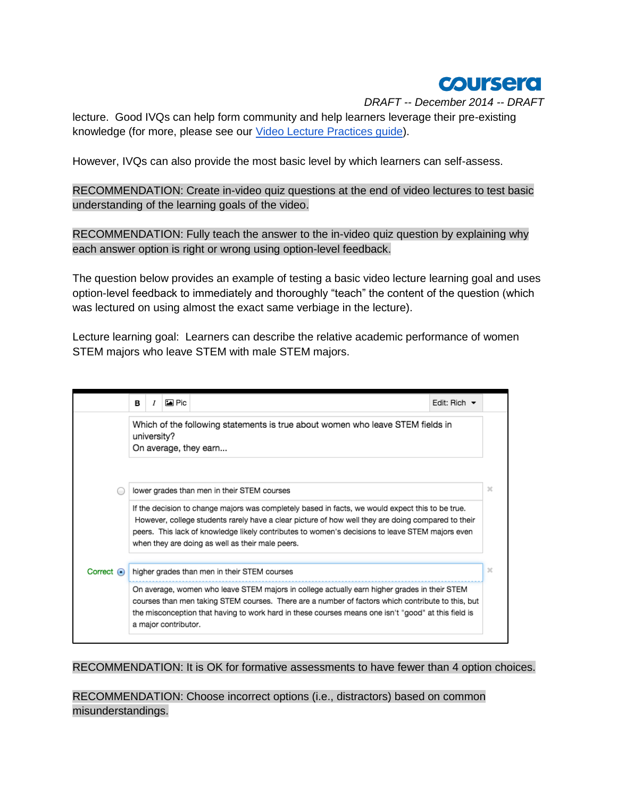

lecture. Good IVQs can help form community and help learners leverage their pre-existing knowledge (for more, please see our [Video Lecture Practices guide\)](https://docs.google.com/document/d/11pRxzpVL5R2OOnE7xSTWN44GkQjLt-D4s9WLAS_Sic0/edit?usp=sharing).

However, IVQs can also provide the most basic level by which learners can self-assess.

RECOMMENDATION: Create in-video quiz questions at the end of video lectures to test basic understanding of the learning goals of the video.

RECOMMENDATION: Fully teach the answer to the in-video quiz question by explaining why each answer option is right or wrong using option-level feedback.

The question below provides an example of testing a basic video lecture learning goal and uses option-level feedback to immediately and thoroughly "teach" the content of the question (which was lectured on using almost the exact same verbiage in the lecture).

Lecture learning goal: Learners can describe the relative academic performance of women STEM majors who leave STEM with male STEM majors.

|                                                                                                                                                                                                                                                                                                                                  | в                                                                                                                                                                                                                                                         |  | <b>দ্র</b> Pic |                                                                                                                                                 | Edit: Rich $\blacktriangleright$ |        |
|----------------------------------------------------------------------------------------------------------------------------------------------------------------------------------------------------------------------------------------------------------------------------------------------------------------------------------|-----------------------------------------------------------------------------------------------------------------------------------------------------------------------------------------------------------------------------------------------------------|--|----------------|-------------------------------------------------------------------------------------------------------------------------------------------------|----------------------------------|--------|
|                                                                                                                                                                                                                                                                                                                                  | university?                                                                                                                                                                                                                                               |  |                | Which of the following statements is true about women who leave STEM fields in<br>On average, they earn                                         |                                  |        |
|                                                                                                                                                                                                                                                                                                                                  |                                                                                                                                                                                                                                                           |  |                | lower grades than men in their STEM courses<br>If the decision to change majors was completely based in facts, we would expect this to be true. |                                  | ×      |
|                                                                                                                                                                                                                                                                                                                                  | However, college students rarely have a clear picture of how well they are doing compared to their<br>peers. This lack of knowledge likely contributes to women's decisions to leave STEM majors even<br>when they are doing as well as their male peers. |  |                |                                                                                                                                                 |                                  |        |
| Correct $\odot$                                                                                                                                                                                                                                                                                                                  |                                                                                                                                                                                                                                                           |  |                | higher grades than men in their STEM courses                                                                                                    |                                  | $\chi$ |
| On average, women who leave STEM majors in college actually earn higher grades in their STEM<br>courses than men taking STEM courses. There are a number of factors which contribute to this, but<br>the misconception that having to work hard in these courses means one isn't "good" at this field is<br>a major contributor. |                                                                                                                                                                                                                                                           |  |                |                                                                                                                                                 |                                  |        |

RECOMMENDATION: It is OK for formative assessments to have fewer than 4 option choices.

RECOMMENDATION: Choose incorrect options (i.e., distractors) based on common misunderstandings.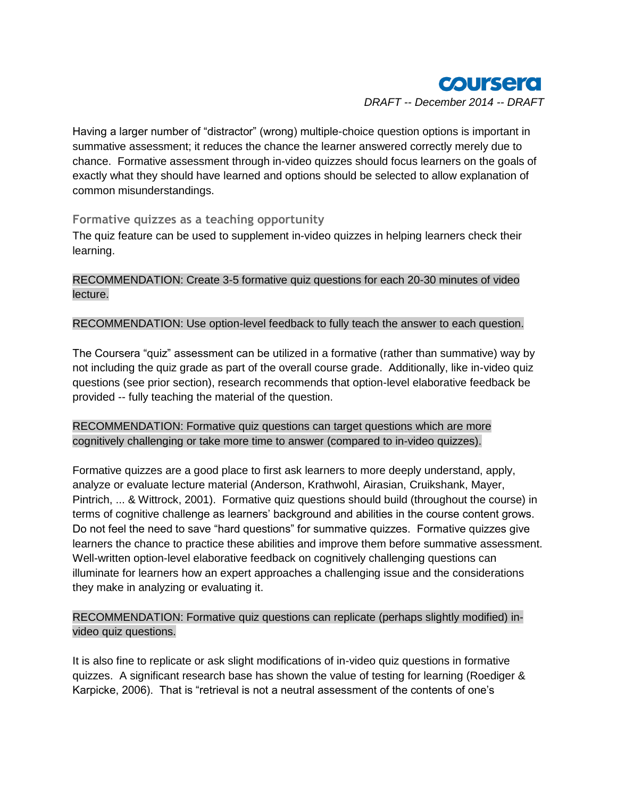

Having a larger number of "distractor" (wrong) multiple-choice question options is important in summative assessment; it reduces the chance the learner answered correctly merely due to chance. Formative assessment through in-video quizzes should focus learners on the goals of exactly what they should have learned and options should be selected to allow explanation of common misunderstandings.

#### **Formative quizzes as a teaching opportunity**

The quiz feature can be used to supplement in-video quizzes in helping learners check their learning.

RECOMMENDATION: Create 3-5 formative quiz questions for each 20-30 minutes of video lecture.

#### RECOMMENDATION: Use option-level feedback to fully teach the answer to each question.

The Coursera "quiz" assessment can be utilized in a formative (rather than summative) way by not including the quiz grade as part of the overall course grade. Additionally, like in-video quiz questions (see prior section), research recommends that option-level elaborative feedback be provided -- fully teaching the material of the question.

#### RECOMMENDATION: Formative quiz questions can target questions which are more cognitively challenging or take more time to answer (compared to in-video quizzes).

Formative quizzes are a good place to first ask learners to more deeply understand, apply, analyze or evaluate lecture material (Anderson, Krathwohl, Airasian, Cruikshank, Mayer, Pintrich, ... & Wittrock, 2001). Formative quiz questions should build (throughout the course) in terms of cognitive challenge as learners' background and abilities in the course content grows. Do not feel the need to save "hard questions" for summative quizzes. Formative quizzes give learners the chance to practice these abilities and improve them before summative assessment. Well-written option-level elaborative feedback on cognitively challenging questions can illuminate for learners how an expert approaches a challenging issue and the considerations they make in analyzing or evaluating it.

RECOMMENDATION: Formative quiz questions can replicate (perhaps slightly modified) invideo quiz questions.

It is also fine to replicate or ask slight modifications of in-video quiz questions in formative quizzes. A significant research base has shown the value of testing for learning (Roediger & Karpicke, 2006). That is "retrieval is not a neutral assessment of the contents of one's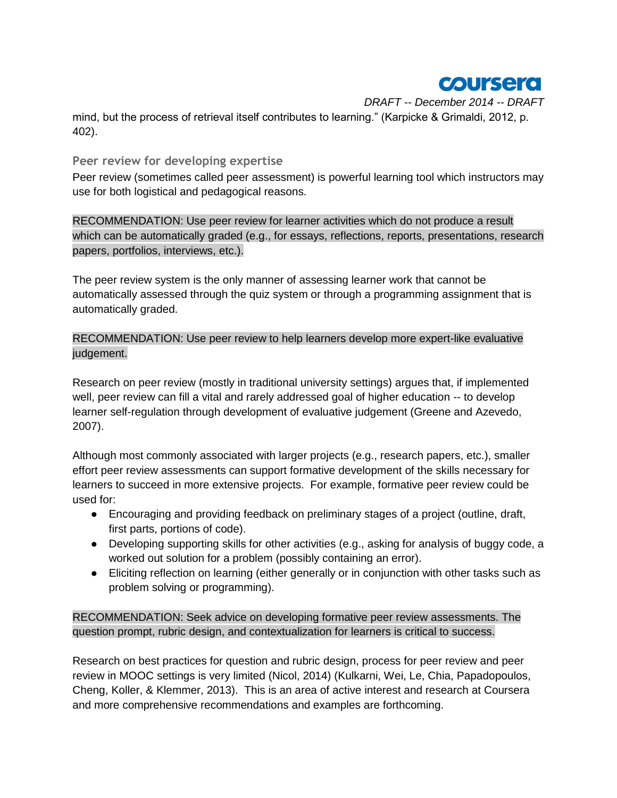

*DRAFT -- December 2014 -- DRAFT* mind, but the process of retrieval itself contributes to learning." (Karpicke & Grimaldi, 2012, p. 402).

#### **Peer review for developing expertise**

Peer review (sometimes called peer assessment) is powerful learning tool which instructors may use for both logistical and pedagogical reasons.

RECOMMENDATION: Use peer review for learner activities which do not produce a result which can be automatically graded (e.g., for essays, reflections, reports, presentations, research papers, portfolios, interviews, etc.).

The peer review system is the only manner of assessing learner work that cannot be automatically assessed through the quiz system or through a programming assignment that is automatically graded.

RECOMMENDATION: Use peer review to help learners develop more expert-like evaluative judgement.

Research on peer review (mostly in traditional university settings) argues that, if implemented well, peer review can fill a vital and rarely addressed goal of higher education -- to develop learner self-regulation through development of evaluative judgement (Greene and Azevedo, 2007).

Although most commonly associated with larger projects (e.g., research papers, etc.), smaller effort peer review assessments can support formative development of the skills necessary for learners to succeed in more extensive projects. For example, formative peer review could be used for:

- Encouraging and providing feedback on preliminary stages of a project (outline, draft, first parts, portions of code).
- Developing supporting skills for other activities (e.g., asking for analysis of buggy code, a worked out solution for a problem (possibly containing an error).
- Eliciting reflection on learning (either generally or in conjunction with other tasks such as problem solving or programming).

RECOMMENDATION: Seek advice on developing formative peer review assessments. The question prompt, rubric design, and contextualization for learners is critical to success.

Research on best practices for question and rubric design, process for peer review and peer review in MOOC settings is very limited (Nicol, 2014) (Kulkarni, Wei, Le, Chia, Papadopoulos, Cheng, Koller, & Klemmer, 2013). This is an area of active interest and research at Coursera and more comprehensive recommendations and examples are forthcoming.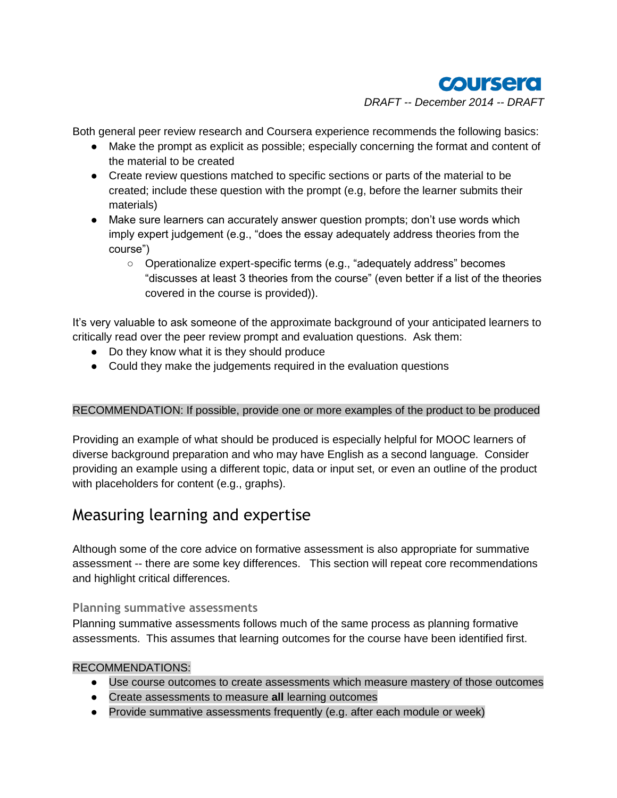

Both general peer review research and Coursera experience recommends the following basics:

- Make the prompt as explicit as possible; especially concerning the format and content of the material to be created
- Create review questions matched to specific sections or parts of the material to be created; include these question with the prompt (e.g, before the learner submits their materials)
- Make sure learners can accurately answer question prompts; don't use words which imply expert judgement (e.g., "does the essay adequately address theories from the course")
	- Operationalize expert-specific terms (e.g., "adequately address" becomes "discusses at least 3 theories from the course" (even better if a list of the theories covered in the course is provided)).

It's very valuable to ask someone of the approximate background of your anticipated learners to critically read over the peer review prompt and evaluation questions. Ask them:

- Do they know what it is they should produce
- Could they make the judgements required in the evaluation questions

#### RECOMMENDATION: If possible, provide one or more examples of the product to be produced

Providing an example of what should be produced is especially helpful for MOOC learners of diverse background preparation and who may have English as a second language. Consider providing an example using a different topic, data or input set, or even an outline of the product with placeholders for content (e.g., graphs).

# Measuring learning and expertise

Although some of the core advice on formative assessment is also appropriate for summative assessment -- there are some key differences. This section will repeat core recommendations and highlight critical differences.

#### **Planning summative assessments**

Planning summative assessments follows much of the same process as planning formative assessments. This assumes that learning outcomes for the course have been identified first.

#### RECOMMENDATIONS:

- Use course outcomes to create assessments which measure mastery of those outcomes
- Create assessments to measure **all** learning outcomes
- Provide summative assessments frequently (e.g. after each module or week)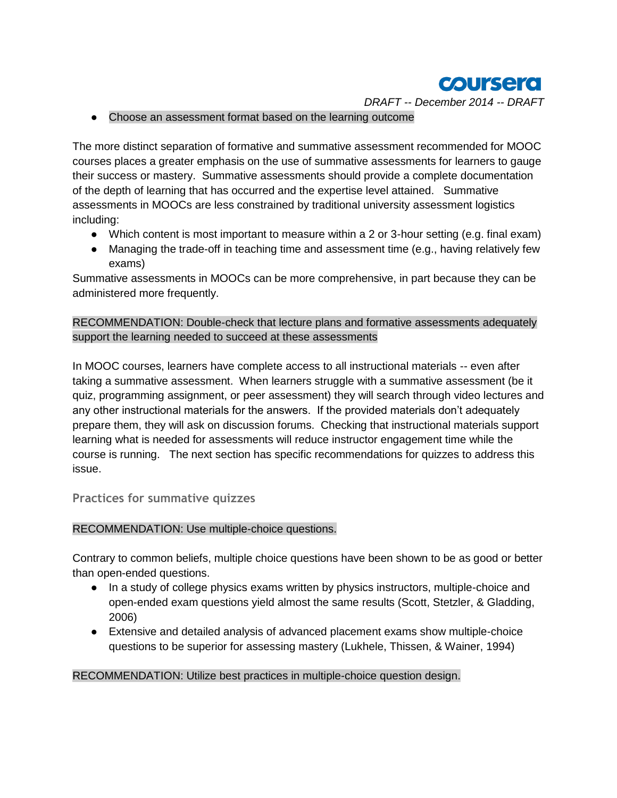

● Choose an assessment format based on the learning outcome

The more distinct separation of formative and summative assessment recommended for MOOC courses places a greater emphasis on the use of summative assessments for learners to gauge their success or mastery. Summative assessments should provide a complete documentation of the depth of learning that has occurred and the expertise level attained. Summative assessments in MOOCs are less constrained by traditional university assessment logistics including:

- Which content is most important to measure within a 2 or 3-hour setting (e.g. final exam)
- Managing the trade-off in teaching time and assessment time (e.g., having relatively few exams)

Summative assessments in MOOCs can be more comprehensive, in part because they can be administered more frequently.

#### RECOMMENDATION: Double-check that lecture plans and formative assessments adequately support the learning needed to succeed at these assessments

In MOOC courses, learners have complete access to all instructional materials -- even after taking a summative assessment. When learners struggle with a summative assessment (be it quiz, programming assignment, or peer assessment) they will search through video lectures and any other instructional materials for the answers. If the provided materials don't adequately prepare them, they will ask on discussion forums. Checking that instructional materials support learning what is needed for assessments will reduce instructor engagement time while the course is running. The next section has specific recommendations for quizzes to address this issue.

#### **Practices for summative quizzes**

#### RECOMMENDATION: Use multiple-choice questions.

Contrary to common beliefs, multiple choice questions have been shown to be as good or better than open-ended questions.

- In a study of college physics exams written by physics instructors, multiple-choice and open-ended exam questions yield almost the same results (Scott, Stetzler, & Gladding, 2006)
- Extensive and detailed analysis of advanced placement exams show multiple-choice questions to be superior for assessing mastery (Lukhele, Thissen, & Wainer, 1994)

#### RECOMMENDATION: Utilize best practices in multiple-choice question design.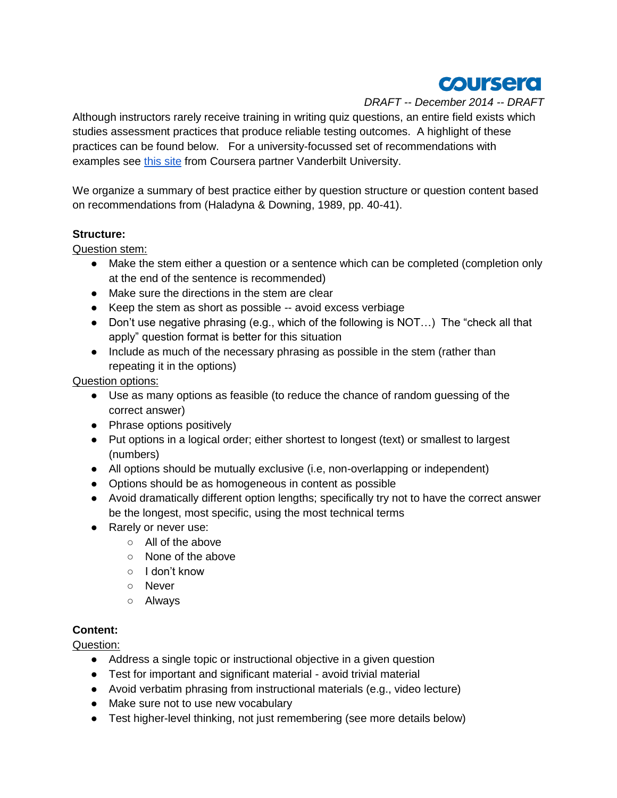

Although instructors rarely receive training in writing quiz questions, an entire field exists which studies assessment practices that produce reliable testing outcomes. A highlight of these practices can be found below. For a university-focussed set of recommendations with examples see [this site](http://cft.vanderbilt.edu/guides-sub-pages/writing-good-multiple-choice-test-questions/) from Coursera partner Vanderbilt University.

We organize a summary of best practice either by question structure or question content based on recommendations from (Haladyna & Downing, 1989, pp. 40-41).

#### **Structure:**

Question stem:

- Make the stem either a question or a sentence which can be completed (completion only at the end of the sentence is recommended)
- Make sure the directions in the stem are clear
- Keep the stem as short as possible -- avoid excess verbiage
- Don't use negative phrasing (e.g., which of the following is NOT...) The "check all that apply" question format is better for this situation
- Include as much of the necessary phrasing as possible in the stem (rather than repeating it in the options)

Question options:

- Use as many options as feasible (to reduce the chance of random guessing of the correct answer)
- Phrase options positively
- Put options in a logical order; either shortest to longest (text) or smallest to largest (numbers)
- All options should be mutually exclusive (i.e, non-overlapping or independent)
- Options should be as homogeneous in content as possible
- Avoid dramatically different option lengths; specifically try not to have the correct answer be the longest, most specific, using the most technical terms
- Rarely or never use:
	- All of the above
	- None of the above
	- I don't know
	- Never
	- Always

#### **Content:**

Question:

- Address a single topic or instructional objective in a given question
- Test for important and significant material avoid trivial material
- Avoid verbatim phrasing from instructional materials (e.g., video lecture)
- Make sure not to use new vocabulary
- Test higher-level thinking, not just remembering (see more details below)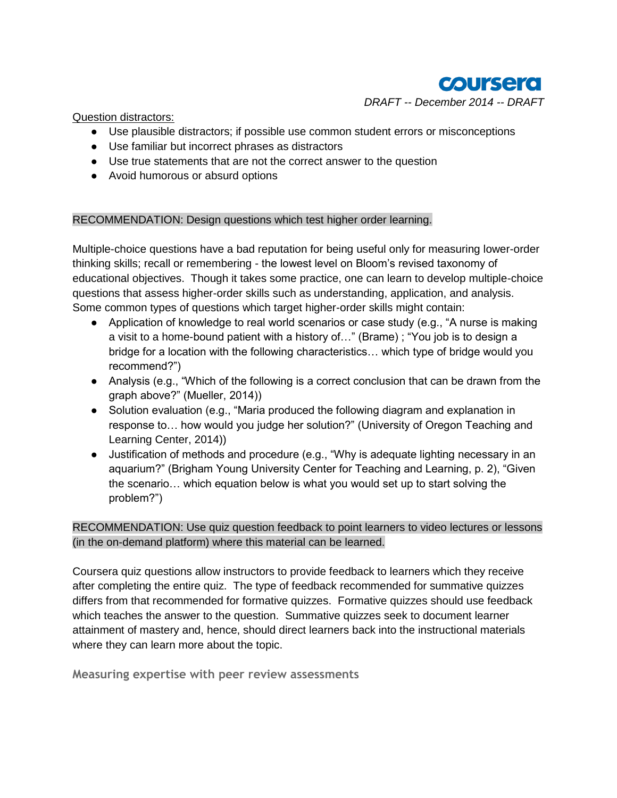

Question distractors:

- Use plausible distractors; if possible use common student errors or misconceptions
- Use familiar but incorrect phrases as distractors
- Use true statements that are not the correct answer to the question
- Avoid humorous or absurd options

#### RECOMMENDATION: Design questions which test higher order learning.

Multiple-choice questions have a bad reputation for being useful only for measuring lower-order thinking skills; recall or remembering - the lowest level on Bloom's revised taxonomy of educational objectives. Though it takes some practice, one can learn to develop multiple-choice questions that assess higher-order skills such as understanding, application, and analysis. Some common types of questions which target higher-order skills might contain:

- Application of knowledge to real world scenarios or case study (e.g., "A nurse is making a visit to a home-bound patient with a history of…" (Brame) ; "You job is to design a bridge for a location with the following characteristics… which type of bridge would you recommend?")
- Analysis (e.g., "Which of the following is a correct conclusion that can be drawn from the graph above?" (Mueller, 2014))
- Solution evaluation (e.g., "Maria produced the following diagram and explanation in response to… how would you judge her solution?" (University of Oregon Teaching and Learning Center, 2014))
- Justification of methods and procedure (e.g., "Why is adequate lighting necessary in an aquarium?" (Brigham Young University Center for Teaching and Learning, p. 2), "Given the scenario… which equation below is what you would set up to start solving the problem?")

RECOMMENDATION: Use quiz question feedback to point learners to video lectures or lessons (in the on-demand platform) where this material can be learned.

Coursera quiz questions allow instructors to provide feedback to learners which they receive after completing the entire quiz. The type of feedback recommended for summative quizzes differs from that recommended for formative quizzes. Formative quizzes should use feedback which teaches the answer to the question. Summative quizzes seek to document learner attainment of mastery and, hence, should direct learners back into the instructional materials where they can learn more about the topic.

**Measuring expertise with peer review assessments**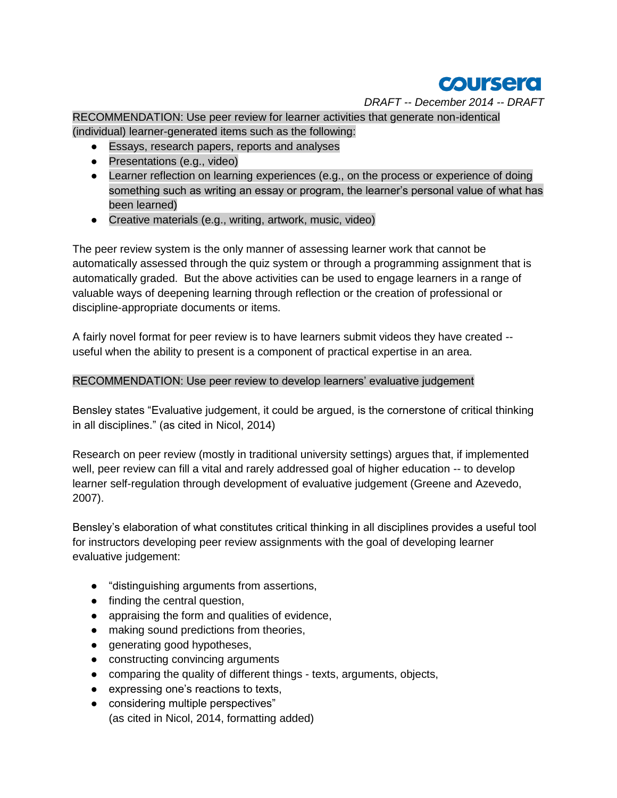

RECOMMENDATION: Use peer review for learner activities that generate non-identical (individual) learner-generated items such as the following:

- Essays, research papers, reports and analyses
- Presentations (e.g., video)
- Learner reflection on learning experiences (e.g., on the process or experience of doing something such as writing an essay or program, the learner's personal value of what has been learned)
- Creative materials (e.g., writing, artwork, music, video)

The peer review system is the only manner of assessing learner work that cannot be automatically assessed through the quiz system or through a programming assignment that is automatically graded. But the above activities can be used to engage learners in a range of valuable ways of deepening learning through reflection or the creation of professional or discipline-appropriate documents or items.

A fairly novel format for peer review is to have learners submit videos they have created - useful when the ability to present is a component of practical expertise in an area.

#### RECOMMENDATION: Use peer review to develop learners' evaluative judgement

Bensley states "Evaluative judgement, it could be argued, is the cornerstone of critical thinking in all disciplines." (as cited in Nicol, 2014)

Research on peer review (mostly in traditional university settings) argues that, if implemented well, peer review can fill a vital and rarely addressed goal of higher education -- to develop learner self-regulation through development of evaluative judgement (Greene and Azevedo, 2007).

Bensley's elaboration of what constitutes critical thinking in all disciplines provides a useful tool for instructors developing peer review assignments with the goal of developing learner evaluative judgement:

- "distinguishing arguments from assertions,
- finding the central question,
- appraising the form and qualities of evidence,
- making sound predictions from theories,
- generating good hypotheses,
- constructing convincing arguments
- comparing the quality of different things texts, arguments, objects,
- expressing one's reactions to texts,
- considering multiple perspectives" (as cited in Nicol, 2014, formatting added)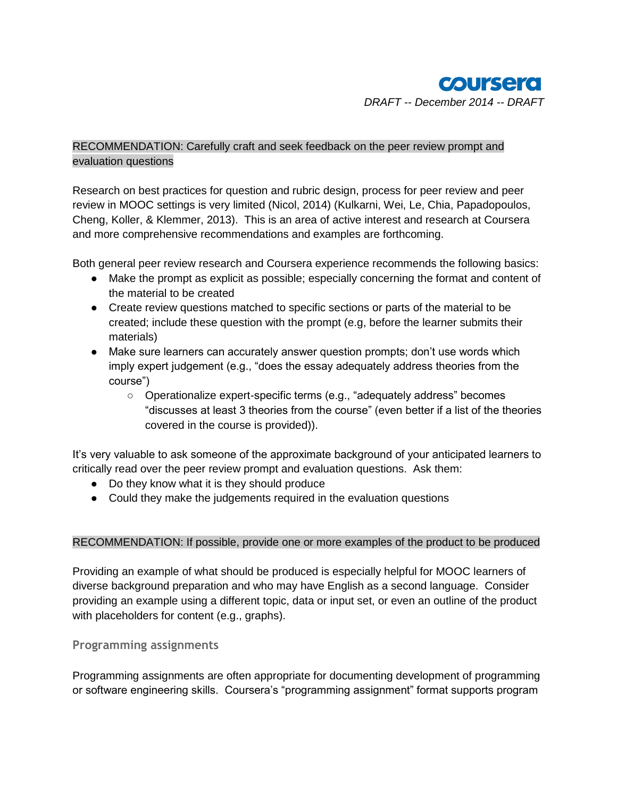#### RECOMMENDATION: Carefully craft and seek feedback on the peer review prompt and evaluation questions

Research on best practices for question and rubric design, process for peer review and peer review in MOOC settings is very limited (Nicol, 2014) (Kulkarni, Wei, Le, Chia, Papadopoulos, Cheng, Koller, & Klemmer, 2013). This is an area of active interest and research at Coursera and more comprehensive recommendations and examples are forthcoming.

Both general peer review research and Coursera experience recommends the following basics:

- Make the prompt as explicit as possible; especially concerning the format and content of the material to be created
- Create review questions matched to specific sections or parts of the material to be created; include these question with the prompt (e.g, before the learner submits their materials)
- Make sure learners can accurately answer question prompts; don't use words which imply expert judgement (e.g., "does the essay adequately address theories from the course")
	- Operationalize expert-specific terms (e.g., "adequately address" becomes "discusses at least 3 theories from the course" (even better if a list of the theories covered in the course is provided)).

It's very valuable to ask someone of the approximate background of your anticipated learners to critically read over the peer review prompt and evaluation questions. Ask them:

- Do they know what it is they should produce
- Could they make the judgements required in the evaluation questions

#### RECOMMENDATION: If possible, provide one or more examples of the product to be produced

Providing an example of what should be produced is especially helpful for MOOC learners of diverse background preparation and who may have English as a second language. Consider providing an example using a different topic, data or input set, or even an outline of the product with placeholders for content (e.g., graphs).

#### **Programming assignments**

Programming assignments are often appropriate for documenting development of programming or software engineering skills. Coursera's "programming assignment" format supports program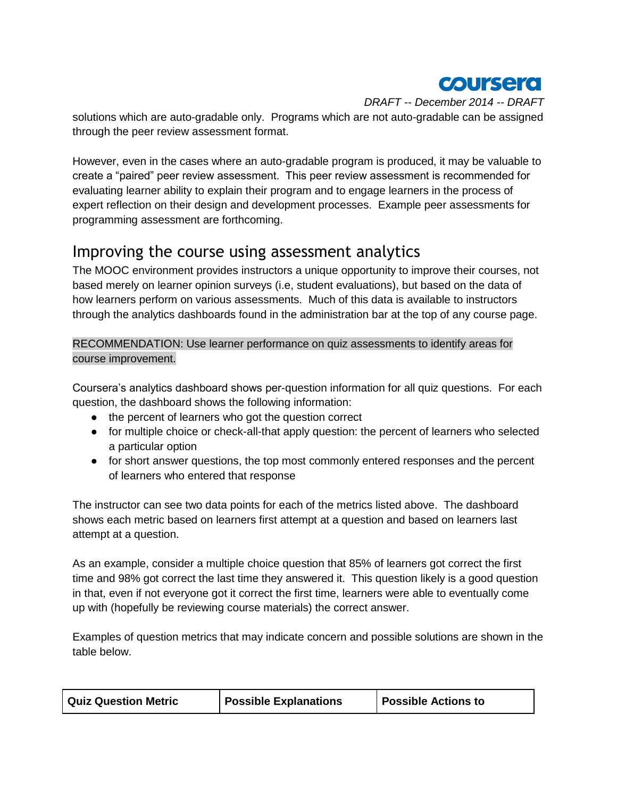

solutions which are auto-gradable only. Programs which are not auto-gradable can be assigned through the peer review assessment format.

However, even in the cases where an auto-gradable program is produced, it may be valuable to create a "paired" peer review assessment. This peer review assessment is recommended for evaluating learner ability to explain their program and to engage learners in the process of expert reflection on their design and development processes. Example peer assessments for programming assessment are forthcoming.

# Improving the course using assessment analytics

The MOOC environment provides instructors a unique opportunity to improve their courses, not based merely on learner opinion surveys (i.e, student evaluations), but based on the data of how learners perform on various assessments. Much of this data is available to instructors through the analytics dashboards found in the administration bar at the top of any course page.

RECOMMENDATION: Use learner performance on quiz assessments to identify areas for course improvement.

Coursera's analytics dashboard shows per-question information for all quiz questions. For each question, the dashboard shows the following information:

- the percent of learners who got the question correct
- for multiple choice or check-all-that apply question: the percent of learners who selected a particular option
- for short answer questions, the top most commonly entered responses and the percent of learners who entered that response

The instructor can see two data points for each of the metrics listed above. The dashboard shows each metric based on learners first attempt at a question and based on learners last attempt at a question.

As an example, consider a multiple choice question that 85% of learners got correct the first time and 98% got correct the last time they answered it. This question likely is a good question in that, even if not everyone got it correct the first time, learners were able to eventually come up with (hopefully be reviewing course materials) the correct answer.

Examples of question metrics that may indicate concern and possible solutions are shown in the table below.

| <b>Quiz Question Metric</b> | <b>Possible Explanations</b> | <b>Possible Actions to</b> |
|-----------------------------|------------------------------|----------------------------|
|-----------------------------|------------------------------|----------------------------|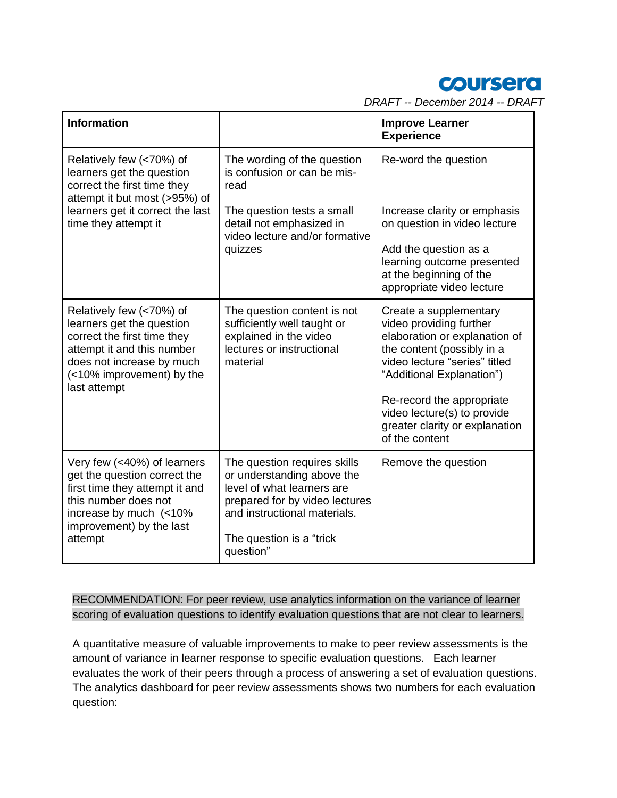

| <b>Information</b>                                                                                                                                                                           |                                                                                                                                                                                                      | <b>Improve Learner</b><br><b>Experience</b>                                                                                                                                                                                                                                                    |
|----------------------------------------------------------------------------------------------------------------------------------------------------------------------------------------------|------------------------------------------------------------------------------------------------------------------------------------------------------------------------------------------------------|------------------------------------------------------------------------------------------------------------------------------------------------------------------------------------------------------------------------------------------------------------------------------------------------|
| Relatively few (<70%) of<br>learners get the question<br>correct the first time they<br>attempt it but most (>95%) of                                                                        | The wording of the question<br>is confusion or can be mis-<br>read                                                                                                                                   | Re-word the question                                                                                                                                                                                                                                                                           |
| learners get it correct the last<br>time they attempt it                                                                                                                                     | The question tests a small<br>detail not emphasized in<br>video lecture and/or formative                                                                                                             | Increase clarity or emphasis<br>on question in video lecture                                                                                                                                                                                                                                   |
|                                                                                                                                                                                              | quizzes                                                                                                                                                                                              | Add the question as a<br>learning outcome presented<br>at the beginning of the<br>appropriate video lecture                                                                                                                                                                                    |
| Relatively few (<70%) of<br>learners get the question<br>correct the first time they<br>attempt it and this number<br>does not increase by much<br>(<10% improvement) by the<br>last attempt | The question content is not<br>sufficiently well taught or<br>explained in the video<br>lectures or instructional<br>material                                                                        | Create a supplementary<br>video providing further<br>elaboration or explanation of<br>the content (possibly in a<br>video lecture "series" titled<br>"Additional Explanation")<br>Re-record the appropriate<br>video lecture(s) to provide<br>greater clarity or explanation<br>of the content |
| Very few (<40%) of learners<br>get the question correct the<br>first time they attempt it and<br>this number does not<br>increase by much (<10%<br>improvement) by the last<br>attempt       | The question requires skills<br>or understanding above the<br>level of what learners are<br>prepared for by video lectures<br>and instructional materials.<br>The question is a "trick"<br>question" | Remove the question                                                                                                                                                                                                                                                                            |

#### RECOMMENDATION: For peer review, use analytics information on the variance of learner scoring of evaluation questions to identify evaluation questions that are not clear to learners.

A quantitative measure of valuable improvements to make to peer review assessments is the amount of variance in learner response to specific evaluation questions. Each learner evaluates the work of their peers through a process of answering a set of evaluation questions. The analytics dashboard for peer review assessments shows two numbers for each evaluation question: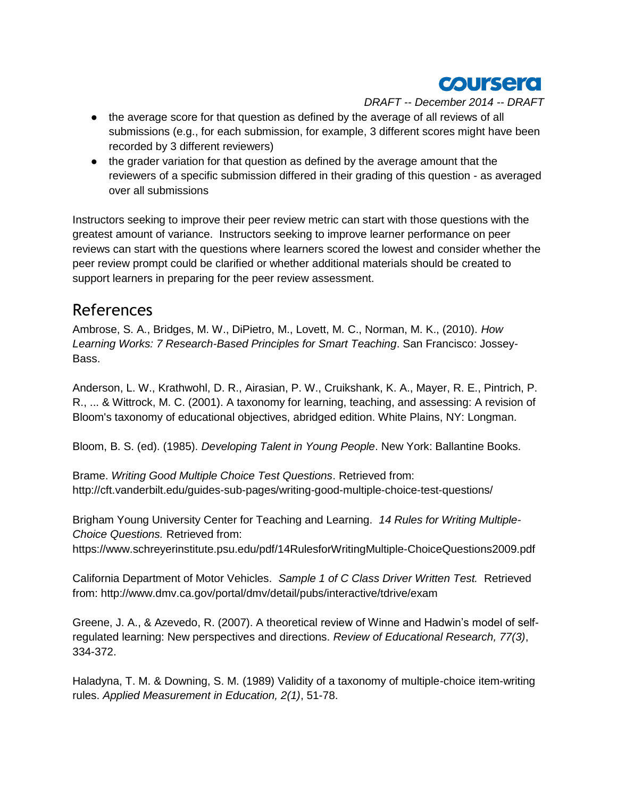

- the average score for that question as defined by the average of all reviews of all submissions (e.g., for each submission, for example, 3 different scores might have been recorded by 3 different reviewers)
- the grader variation for that question as defined by the average amount that the reviewers of a specific submission differed in their grading of this question - as averaged over all submissions

Instructors seeking to improve their peer review metric can start with those questions with the greatest amount of variance. Instructors seeking to improve learner performance on peer reviews can start with the questions where learners scored the lowest and consider whether the peer review prompt could be clarified or whether additional materials should be created to support learners in preparing for the peer review assessment.

## References

Ambrose, S. A., Bridges, M. W., DiPietro, M., Lovett, M. C., Norman, M. K., (2010). *How Learning Works: 7 Research-Based Principles for Smart Teaching*. San Francisco: Jossey-Bass.

Anderson, L. W., Krathwohl, D. R., Airasian, P. W., Cruikshank, K. A., Mayer, R. E., Pintrich, P. R., ... & Wittrock, M. C. (2001). A taxonomy for learning, teaching, and assessing: A revision of Bloom's taxonomy of educational objectives, abridged edition. White Plains, NY: Longman.

Bloom, B. S. (ed). (1985). *Developing Talent in Young People*. New York: Ballantine Books.

Brame. *Writing Good Multiple Choice Test Questions*. Retrieved from: http://cft.vanderbilt.edu/guides-sub-pages/writing-good-multiple-choice-test-questions/

Brigham Young University Center for Teaching and Learning. *14 Rules for Writing Multiple-Choice Questions.* Retrieved from:

https://www.schreyerinstitute.psu.edu/pdf/14RulesforWritingMultiple-ChoiceQuestions2009.pdf

California Department of Motor Vehicles. *Sample 1 of C Class Driver Written Test.* Retrieved from: http://www.dmv.ca.gov/portal/dmv/detail/pubs/interactive/tdrive/exam

Greene, J. A., & Azevedo, R. (2007). A theoretical review of Winne and Hadwin's model of selfregulated learning: New perspectives and directions. *Review of Educational Research, 77(3)*, 334-372.

Haladyna, T. M. & Downing, S. M. (1989) Validity of a taxonomy of multiple-choice item-writing rules. *Applied Measurement in Education, 2(1)*, 51-78.